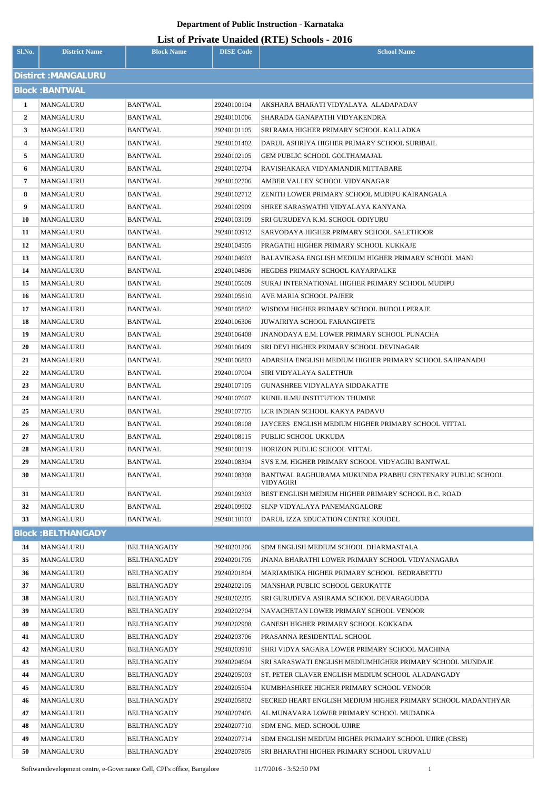| <b>List of Private Unaided (RTE) Schools - 2016</b> |
|-----------------------------------------------------|
|-----------------------------------------------------|

| Sl.No.               | <b>District Name</b>      | <b>Block Name</b>                        | <b>DISE Code</b>           | $\mu$ <sub>15</sub> of T <sub>11</sub> , and Onatucu (IVIII) behoofs $\mu$ <sub>010</sub><br><b>School Name</b> |  |
|----------------------|---------------------------|------------------------------------------|----------------------------|-----------------------------------------------------------------------------------------------------------------|--|
| Distirct : MANGALURU |                           |                                          |                            |                                                                                                                 |  |
|                      | <b>Block: BANTWAL</b>     |                                          |                            |                                                                                                                 |  |
| 1                    | MANGALURU                 | <b>BANTWAL</b>                           | 29240100104                | AKSHARA BHARATI VIDYALAYA  ALADAPADAV                                                                           |  |
| $\overline{2}$       | MANGALURU                 | <b>BANTWAL</b>                           | 29240101006                | SHARADA GANAPATHI VIDYAKENDRA                                                                                   |  |
| 3                    | MANGALURU                 | BANTWAL                                  | 29240101105                | SRI RAMA HIGHER PRIMARY SCHOOL KALLADKA                                                                         |  |
| 4                    | MANGALURU                 | BANTWAL                                  | 29240101402                | DARUL ASHRIYA HIGHER PRIMARY SCHOOL SURIBAIL                                                                    |  |
| 5                    | MANGALURU                 | <b>BANTWAL</b>                           | 29240102105                | GEM PUBLIC SCHOOL GOLTHAMAJAL                                                                                   |  |
| 6                    | MANGALURU                 | BANTWAL                                  | 29240102704                | RAVISHAKARA VIDYAMANDIR MITTABARE                                                                               |  |
| 7                    | MANGALURU                 | BANTWAL                                  | 29240102706                | AMBER VALLEY SCHOOL VIDYANAGAR                                                                                  |  |
| 8                    | MANGALURU                 | BANTWAL                                  | 29240102712                | ZENITH LOWER PRIMARY SCHOOL MUDIPU KAIRANGALA                                                                   |  |
| 9                    | MANGALURU                 | <b>BANTWAL</b>                           | 29240102909                | SHREE SARASWATHI VIDYALAYA KANYANA                                                                              |  |
| 10                   | MANGALURU                 | BANTWAL                                  | 29240103109                | SRI GURUDEVA K.M. SCHOOL ODIYURU                                                                                |  |
| 11                   | MANGALURU                 | <b>BANTWAL</b>                           | 29240103912                | SARVODAYA HIGHER PRIMARY SCHOOL SALETHOOR                                                                       |  |
| 12                   | MANGALURU                 | BANTWAL                                  | 29240104505                | PRAGATHI HIGHER PRIMARY SCHOOL KUKKAJE                                                                          |  |
| 13                   | MANGALURU                 | <b>BANTWAL</b>                           | 29240104603                | BALAVIKASA ENGLISH MEDIUM HIGHER PRIMARY SCHOOL MANI                                                            |  |
| 14                   | MANGALURU                 | BANTWAL                                  | 29240104806                | HEGDES PRIMARY SCHOOL KAYARPALKE                                                                                |  |
| 15                   | MANGALURU                 | <b>BANTWAL</b>                           | 29240105609                | SURAJ INTERNATIONAL HIGHER PRIMARY SCHOOL MUDIPU                                                                |  |
| 16                   | MANGALURU                 | BANTWAL                                  | 29240105610                | AVE MARIA SCHOOL PAJEER                                                                                         |  |
| 17                   | MANGALURU                 | <b>BANTWAL</b>                           | 29240105802                | WISDOM HIGHER PRIMARY SCHOOL BUDOLI PERAJE                                                                      |  |
| 18                   | MANGALURU                 | BANTWAL                                  | 29240106306                | <b>JUWAIRIYA SCHOOL FARANGIPETE</b>                                                                             |  |
| 19                   | MANGALURU                 | BANTWAL                                  | 29240106408                | JNANODAYA E.M. LOWER PRIMARY SCHOOL PUNACHA                                                                     |  |
| 20                   | MANGALURU                 | BANTWAL                                  | 29240106409                | SRI DEVI HIGHER PRIMARY SCHOOL DEVINAGAR                                                                        |  |
| 21                   | MANGALURU                 | BANTWAL                                  | 29240106803                | ADARSHA ENGLISH MEDIUM HIGHER PRIMARY SCHOOL SAJIPANADU                                                         |  |
| 22<br>23             | MANGALURU<br>MANGALURU    | BANTWAL                                  | 29240107004                | SIRI VIDYALAYA SALETHUR                                                                                         |  |
| 24                   | MANGALURU                 | BANTWAL<br><b>BANTWAL</b>                | 29240107105<br>29240107607 | GUNASHREE VIDYALAYA SIDDAKATTE<br>KUNIL ILMU INSTITUTION THUMBE                                                 |  |
| 25                   | MANGALURU                 | BANTWAL                                  | 29240107705                | LCR INDIAN SCHOOL KAKYA PADAVU                                                                                  |  |
| 26                   | MANGALURU                 | <b>BANTWAL</b>                           | 29240108108                | JAYCEES ENGLISH MEDIUM HIGHER PRIMARY SCHOOL VITTAL                                                             |  |
| 27                   | MANGALURU                 | <b>BANTWAL</b>                           | 29240108115                | PUBLIC SCHOOL UKKUDA                                                                                            |  |
| 28                   | MANGALURU                 | <b>BANTWAL</b>                           | 29240108119                | HORIZON PUBLIC SCHOOL VITTAL                                                                                    |  |
| 29                   | MANGALURU                 | <b>BANTWAL</b>                           | 29240108304                | SVS E.M. HIGHER PRIMARY SCHOOL VIDYAGIRI BANTWAL                                                                |  |
| 30                   | MANGALURU                 | <b>BANTWAL</b>                           | 29240108308                | BANTWAL RAGHURAMA MUKUNDA PRABHU CENTENARY PUBLIC SCHOOL<br>VIDYAGIRI                                           |  |
| 31                   | MANGALURU                 | <b>BANTWAL</b>                           | 29240109303                | BEST ENGLISH MEDIUM HIGHER PRIMARY SCHOOL B.C. ROAD                                                             |  |
| 32                   | MANGALURU                 | <b>BANTWAL</b>                           | 29240109902                | SLNP VIDYALAYA PANEMANGALORE                                                                                    |  |
| 33                   | MANGALURU                 | <b>BANTWAL</b>                           | 29240110103                | DARUL IZZA EDUCATION CENTRE KOUDEL                                                                              |  |
|                      | <b>Block: BELTHANGADY</b> |                                          |                            |                                                                                                                 |  |
| 34                   | MANGALURU                 | <b>BELTHANGADY</b>                       | 29240201206                | SDM ENGLISH MEDIUM SCHOOL DHARMASTALA                                                                           |  |
| 35                   | MANGALURU                 | <b>BELTHANGADY</b>                       | 29240201705                | <b>JNANA BHARATHI LOWER PRIMARY SCHOOL VIDYANAGARA</b>                                                          |  |
| 36                   | MANGALURU                 | <b>BELTHANGADY</b>                       | 29240201804                | MARIAMBIKA HIGHER PRIMARY SCHOOL BEDRABETTU                                                                     |  |
| 37                   | MANGALURU                 | <b>BELTHANGADY</b>                       | 29240202105                | MANSHAR PUBLIC SCHOOL GERUKATTE                                                                                 |  |
| 38                   | MANGALURU                 | <b>BELTHANGADY</b>                       | 29240202205                | SRI GURUDEVA ASHRAMA SCHOOL DEVARAGUDDA                                                                         |  |
| 39                   | MANGALURU                 | <b>BELTHANGADY</b>                       | 29240202704                | NAVACHETAN LOWER PRIMARY SCHOOL VENOOR                                                                          |  |
| 40                   | MANGALURU                 | <b>BELTHANGADY</b>                       | 29240202908                | GANESH HIGHER PRIMARY SCHOOL KOKKADA                                                                            |  |
| 41                   | MANGALURU                 | <b>BELTHANGADY</b>                       | 29240203706                | PRASANNA RESIDENTIAL SCHOOL                                                                                     |  |
| 42                   | MANGALURU                 | <b>BELTHANGADY</b>                       | 29240203910                | SHRI VIDYA SAGARA LOWER PRIMARY SCHOOL MACHINA                                                                  |  |
| 43                   | MANGALURU                 | <b>BELTHANGADY</b>                       | 29240204604                | SRI SARASWATI ENGLISH MEDIUMHIGHER PRIMARY SCHOOL MUNDAJE                                                       |  |
| 44<br>45             | MANGALURU<br>MANGALURU    | <b>BELTHANGADY</b><br><b>BELTHANGADY</b> | 29240205003<br>29240205504 | ST. PETER CLAVER ENGLISH MEDIUM SCHOOL ALADANGADY<br>KUMBHASHREE HIGHER PRIMARY SCHOOL VENOOR                   |  |
| 46                   | MANGALURU                 | <b>BELTHANGADY</b>                       | 29240205802                | SECRED HEART ENGLISH MEDIUM HIGHER PRIMARY SCHOOL MADANTHYAR                                                    |  |
| 47                   | MANGALURU                 | <b>BELTHANGADY</b>                       | 29240207405                | AL MUNAVARA LOWER PRIMARY SCHOOL MUDADKA                                                                        |  |
| 48                   | MANGALURU                 | <b>BELTHANGADY</b>                       | 29240207710                | SDM ENG. MED. SCHOOL UJIRE                                                                                      |  |
| 49                   | MANGALURU                 | <b>BELTHANGADY</b>                       | 29240207714                | SDM ENGLISH MEDIUM HIGHER PRIMARY SCHOOL UJIRE (CBSE)                                                           |  |
| 50                   | MANGALURU                 | <b>BELTHANGADY</b>                       | 29240207805                | SRI BHARATHI HIGHER PRIMARY SCHOOL URUVALU                                                                      |  |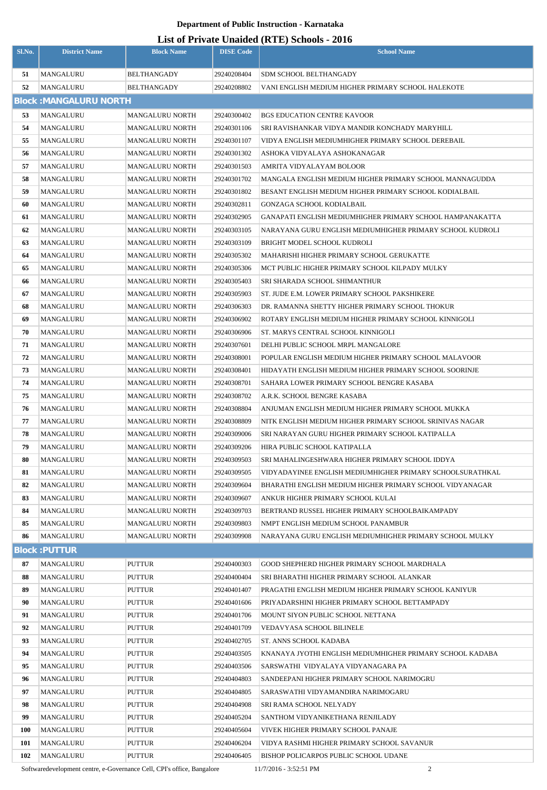# **List of Private Unaided (RTE) Schools - 2016**

| Sl.No.   | <b>District Name</b>          | <b>Block Name</b>      | <b>DISE Code</b>           | $\mu$ <sub>15</sub> of T <sub>11</sub> , and Onalact (IVII) behoofs $\mu$ <sub>016</sub><br><b>School Name</b> |
|----------|-------------------------------|------------------------|----------------------------|----------------------------------------------------------------------------------------------------------------|
| 51       | MANGALURU                     | <b>BELTHANGADY</b>     | 29240208404                | SDM SCHOOL BELTHANGADY                                                                                         |
| 52       | MANGALURU                     | <b>BELTHANGADY</b>     | 29240208802                | VANI ENGLISH MEDIUM HIGHER PRIMARY SCHOOL HALEKOTE                                                             |
|          | <b>Block: MANGALURU NORTH</b> |                        |                            |                                                                                                                |
| 53       | MANGALURU                     | <b>MANGALURU NORTH</b> | 29240300402                | <b>BGS EDUCATION CENTRE KAVOOR</b>                                                                             |
| 54       | MANGALURU                     | <b>MANGALURU NORTH</b> | 29240301106                | SRI RAVISHANKAR VIDYA MANDIR KONCHADY MARYHILL                                                                 |
| 55       | MANGALURU                     | <b>MANGALURU NORTH</b> | 29240301107                | VIDYA ENGLISH MEDIUMHIGHER PRIMARY SCHOOL DEREBAIL                                                             |
| 56       | MANGALURU                     | MANGALURU NORTH        | 29240301302                | ASHOKA VIDYALAYA ASHOKANAGAR                                                                                   |
| 57       | MANGALURU                     | <b>MANGALURU NORTH</b> | 29240301503                | AMRITA VIDYALAYAM BOLOOR                                                                                       |
| 58       | MANGALURU                     | <b>MANGALURU NORTH</b> | 29240301702                | MANGALA ENGLISH MEDIUM HIGHER PRIMARY SCHOOL MANNAGUDDA                                                        |
| 59       | MANGALURU                     | <b>MANGALURU NORTH</b> | 29240301802                | BESANT ENGLISH MEDIUM HIGHER PRIMARY SCHOOL KODIALBAIL                                                         |
| 60       | MANGALURU                     | MANGALURU NORTH        | 29240302811                | GONZAGA SCHOOL KODIALBAIL                                                                                      |
| 61       | MANGALURU                     | <b>MANGALURU NORTH</b> | 29240302905                | GANAPATI ENGLISH MEDIUMHIGHER PRIMARY SCHOOL HAMPANAKATTA                                                      |
| 62       | MANGALURU                     | MANGALURU NORTH        | 29240303105                | NARAYANA GURU ENGLISH MEDIUMHIGHER PRIMARY SCHOOL KUDROLI                                                      |
| 63       | MANGALURU                     | <b>MANGALURU NORTH</b> | 29240303109                | BRIGHT MODEL SCHOOL KUDROLI                                                                                    |
| 64       | MANGALURU                     | MANGALURU NORTH        | 29240305302                | MAHARISHI HIGHER PRIMARY SCHOOL GERUKATTE                                                                      |
| 65       | MANGALURU                     | MANGALURU NORTH        | 29240305306                | MCT PUBLIC HIGHER PRIMARY SCHOOL KILPADY MULKY                                                                 |
| 66       | MANGALURU                     | MANGALURU NORTH        | 29240305403                | SRI SHARADA SCHOOL SHIMANTHUR                                                                                  |
| 67       | MANGALURU                     | MANGALURU NORTH        | 29240305903                | ST. JUDE E.M. LOWER PRIMARY SCHOOL PAKSHIKERE                                                                  |
| 68       | MANGALURU                     | MANGALURU NORTH        | 29240306303                | DR. RAMANNA SHETTY HIGHER PRIMARY SCHOOL THOKUR                                                                |
| 69       | MANGALURU                     | MANGALURU NORTH        | 29240306902                | ROTARY ENGLISH MEDIUM HIGHER PRIMARY SCHOOL KINNIGOLI                                                          |
| 70       | MANGALURU                     | MANGALURU NORTH        | 29240306906                | ST. MARYS CENTRAL SCHOOL KINNIGOLI                                                                             |
| 71       | MANGALURU                     | MANGALURU NORTH        | 29240307601                | DELHI PUBLIC SCHOOL MRPL MANGALORE                                                                             |
| 72       | MANGALURU                     | MANGALURU NORTH        | 29240308001                | POPULAR ENGLISH MEDIUM HIGHER PRIMARY SCHOOL MALAVOOR                                                          |
| 73       | MANGALURU                     | <b>MANGALURU NORTH</b> | 29240308401                | HIDAYATH ENGLISH MEDIUM HIGHER PRIMARY SCHOOL SOORINJE                                                         |
| 74       | MANGALURU                     | <b>MANGALURU NORTH</b> | 29240308701                | SAHARA LOWER PRIMARY SCHOOL BENGRE KASABA                                                                      |
| 75       | MANGALURU                     | <b>MANGALURU NORTH</b> | 29240308702                | A.R.K. SCHOOL BENGRE KASABA                                                                                    |
| 76       | MANGALURU                     | <b>MANGALURU NORTH</b> | 29240308804                | ANJUMAN ENGLISH MEDIUM HIGHER PRIMARY SCHOOL MUKKA                                                             |
| 77       | MANGALURU                     | <b>MANGALURU NORTH</b> | 29240308809                | NITK ENGLISH MEDIUM HIGHER PRIMARY SCHOOL SRINIVAS NAGAR                                                       |
| 78       | <b>MANGALURU</b>              | <b>MANGALURU NORTH</b> | 29240309006                | SRI NARAYAN GURU HIGHER PRIMARY SCHOOL KATIPALLA                                                               |
| 79       | MANGALURU                     | <b>MANGALURU NORTH</b> | 29240309206                | HIRA PUBLIC SCHOOL KATIPALLA                                                                                   |
| 80       | MANGALURU                     | <b>MANGALURU NORTH</b> | 29240309503                | SRI MAHALINGESHWARA HIGHER PRIMARY SCHOOL IDDYA                                                                |
| 81       | MANGALURU                     | <b>MANGALURU NORTH</b> | 29240309505                | VIDYADAYINEE ENGLISH MEDIUMHIGHER PRIMARY SCHOOLSURATHKAL                                                      |
| 82       | MANGALURU                     | <b>MANGALURU NORTH</b> | 29240309604                | BHARATHI ENGLISH MEDIUM HIGHER PRIMARY SCHOOL VIDYANAGAR                                                       |
| 83       | MANGALURU                     | <b>MANGALURU NORTH</b> | 29240309607                | ANKUR HIGHER PRIMARY SCHOOL KULAI                                                                              |
| 84       | MANGALURU                     | <b>MANGALURU NORTH</b> | 29240309703                | BERTRAND RUSSEL HIGHER PRIMARY SCHOOLBAIKAMPADY                                                                |
| 85       | MANGALURU                     | <b>MANGALURU NORTH</b> | 29240309803                | NMPT ENGLISH MEDIUM SCHOOL PANAMBUR                                                                            |
| 86       | MANGALURU                     | <b>MANGALURU NORTH</b> | 29240309908                | NARAYANA GURU ENGLISH MEDIUMHIGHER PRIMARY SCHOOL MULKY                                                        |
|          | <b>Block: PUTTUR</b>          |                        |                            |                                                                                                                |
| 87       | MANGALURU                     | <b>PUTTUR</b>          | 29240400303                | GOOD SHEPHERD HIGHER PRIMARY SCHOOL MARDHALA                                                                   |
| 88       | MANGALURU                     | <b>PUTTUR</b>          | 29240400404                | SRI BHARATHI HIGHER PRIMARY SCHOOL ALANKAR                                                                     |
| 89       | MANGALURU                     | PUTTUR                 | 29240401407                | PRAGATHI ENGLISH MEDIUM HIGHER PRIMARY SCHOOL KANIYUR                                                          |
| 90       | MANGALURU                     | PUTTUR                 | 29240401606                | PRIYADARSHINI HIGHER PRIMARY SCHOOL BETTAMPADY                                                                 |
| 91       | MANGALURU                     | PUTTUR                 | 29240401706                | MOUNT SIYON PUBLIC SCHOOL NETTANA                                                                              |
| 92       | MANGALURU                     | <b>PUTTUR</b>          | 29240401709                | VEDAVYASA SCHOOL BILINELE                                                                                      |
| 93       | MANGALURU                     | PUTTUR                 | 29240402705                | ST. ANNS SCHOOL KADABA                                                                                         |
| 94<br>95 | MANGALURU<br>MANGALURU        | PUTTUR<br>PUTTUR       | 29240403505<br>29240403506 | KNANAYA JYOTHI ENGLISH MEDIUMHIGHER PRIMARY SCHOOL KADABA<br>SARSWATHI VIDYALAYA VIDYANAGARA PA                |
| 96       | MANGALURU                     | <b>PUTTUR</b>          | 29240404803                | SANDEEPANI HIGHER PRIMARY SCHOOL NARIMOGRU                                                                     |
| 97       | MANGALURU                     | PUTTUR                 | 29240404805                | SARASWATHI VIDYAMANDIRA NARIMOGARU                                                                             |
| 98       | MANGALURU                     | PUTTUR                 | 29240404908                | SRI RAMA SCHOOL NELYADY                                                                                        |
| 99       | MANGALURU                     | PUTTUR                 | 29240405204                | SANTHOM VIDYANIKETHANA RENJILADY                                                                               |
| 100      | MANGALURU                     | <b>PUTTUR</b>          | 29240405604                | VIVEK HIGHER PRIMARY SCHOOL PANAJE                                                                             |
| 101      | MANGALURU                     | PUTTUR                 | 29240406204                | VIDYA RASHMI HIGHER PRIMARY SCHOOL SAVANUR                                                                     |
| 102      | MANGALURU                     | PUTTUR                 | 29240406405                | BISHOP POLICARPOS PUBLIC SCHOOL UDANE                                                                          |

Softwaredevelopment centre, e-Governance Cell, CPI's office, Bangalore 11/7/2016 - 3:52:51 PM 2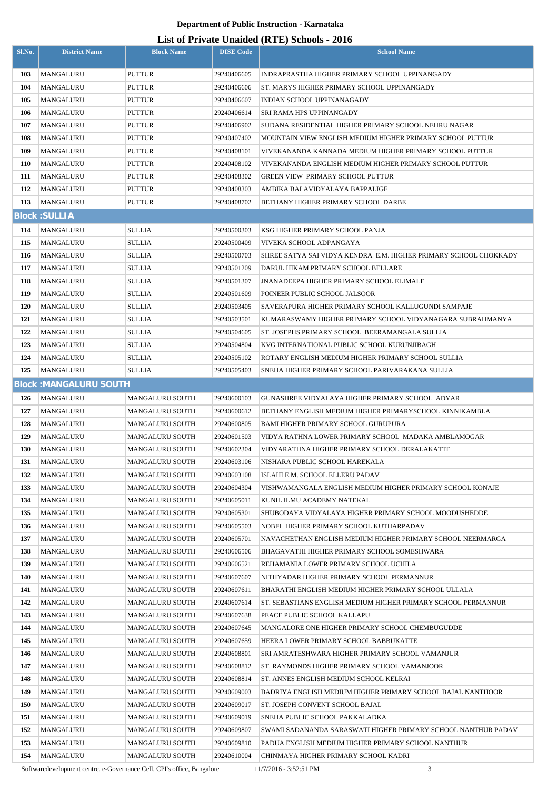## **List of Private Unaided (RTE) Schools - 2016**

| Sl.No.     | <b>District Name</b>          | <b>Block Name</b>       | <b>DISE Code</b>           | $List$ of Trivally Unafully (IVTE) behoods - 2010<br><b>School Name</b>                           |
|------------|-------------------------------|-------------------------|----------------------------|---------------------------------------------------------------------------------------------------|
|            |                               |                         |                            |                                                                                                   |
| 103        | MANGALURU                     | PUTTUR                  | 29240406605                | INDRAPRASTHA HIGHER PRIMARY SCHOOL UPPINANGADY                                                    |
| 104        | <b>MANGALURU</b>              | PUTTUR                  | 29240406606                | ST. MARYS HIGHER PRIMARY SCHOOL UPPINANGADY                                                       |
| 105        | MANGALURU                     | PUTTUR                  | 29240406607                | INDIAN SCHOOL UPPINANAGADY                                                                        |
| 106        | MANGALURU                     | PUTTUR                  | 29240406614                | SRI RAMA HPS UPPINANGADY                                                                          |
| 107        | MANGALURU                     | PUTTUR                  | 29240406902                | SUDANA RESIDENTIAL HIGHER PRIMARY SCHOOL NEHRU NAGAR                                              |
| 108        | MANGALURU                     | PUTTUR                  | 29240407402                | MOUNTAIN VIEW ENGLISH MEDIUM HIGHER PRIMARY SCHOOL PUTTUR                                         |
| 109        | MANGALURU                     | PUTTUR                  | 29240408101                | VIVEKANANDA KANNADA MEDIUM HIGHER PRIMARY SCHOOL PUTTUR                                           |
| 110        | MANGALURU                     | PUTTUR                  | 29240408102                | VIVEKANANDA ENGLISH MEDIUM HIGHER PRIMARY SCHOOL PUTTUR                                           |
| 111        | MANGALURU                     | PUTTUR                  | 29240408302                | GREEN VIEW PRIMARY SCHOOL PUTTUR                                                                  |
| 112<br>113 | MANGALURU<br>MANGALURU        | PUTTUR<br>PUTTUR        | 29240408303<br>29240408702 | AMBIKA BALAVIDYALAYA BAPPALIGE<br>BETHANY HIGHER PRIMARY SCHOOL DARBE                             |
|            |                               |                         |                            |                                                                                                   |
|            | <b>Block: SULLIA</b>          |                         |                            |                                                                                                   |
| 114        | MANGALURU                     | SULLIA                  | 29240500303                | KSG HIGHER PRIMARY SCHOOL PANJA                                                                   |
| 115        | MANGALURU                     | <b>SULLIA</b>           | 29240500409                | VIVEKA SCHOOL ADPANGAYA                                                                           |
| 116        | MANGALURU                     | <b>SULLIA</b>           | 29240500703                | SHREE SATYA SAI VIDYA KENDRA E.M. HIGHER PRIMARY SCHOOL CHOKKADY                                  |
| 117        | MANGALURU                     | <b>SULLIA</b>           | 29240501209                | DARUL HIKAM PRIMARY SCHOOL BELLARE                                                                |
| 118        | MANGALURU                     | <b>SULLIA</b>           | 29240501307                | JNANADEEPA HIGHER PRIMARY SCHOOL ELIMALE                                                          |
| 119        | MANGALURU                     | <b>SULLIA</b>           | 29240501609                | POINEER PUBLIC SCHOOL JALSOOR                                                                     |
| 120        | MANGALURU                     | <b>SULLIA</b>           | 29240503405                | SAVERAPURA HIGHER PRIMARY SCHOOL KALLUGUNDI SAMPAJE                                               |
| 121<br>122 | MANGALURU                     | SULLIA<br><b>SULLIA</b> | 29240503501                | KUMARASWAMY HIGHER PRIMARY SCHOOL VIDYANAGARA SUBRAHMANYA                                         |
| 123        | MANGALURU                     |                         | 29240504605                | ST. JOSEPHS PRIMARY SCHOOL BEERAMANGALA SULLIA                                                    |
| 124        | MANGALURU<br>MANGALURU        | SULLIA<br><b>SULLIA</b> | 29240504804<br>29240505102 | KVG INTERNATIONAL PUBLIC SCHOOL KURUNJIBAGH<br>ROTARY ENGLISH MEDIUM HIGHER PRIMARY SCHOOL SULLIA |
| 125        | MANGALURU                     | <b>SULLIA</b>           | 29240505403                | SNEHA HIGHER PRIMARY SCHOOL PARIVARAKANA SULLIA                                                   |
|            | <b>Block: MANGALURU SOUTH</b> |                         |                            |                                                                                                   |
| 126        | MANGALURU                     | MANGALURU SOUTH         | 29240600103                | GUNASHREE VIDYALAYA HIGHER PRIMARY SCHOOL ADYAR                                                   |
| 127        | MANGALURU                     | MANGALURU SOUTH         | 29240600612                | BETHANY ENGLISH MEDIUM HIGHER PRIMARYSCHOOL KINNIKAMBLA                                           |
| 128        | MANGALURU                     | <b>MANGALURU SOUTH</b>  | 29240600805                | <b>BAMI HIGHER PRIMARY SCHOOL GURUPURA</b>                                                        |
| 129        | <b>MANGALURU</b>              | MANGALURU SOUTH         | 29240601503                | VIDYA RATHNA LOWER PRIMARY SCHOOL MADAKA AMBLAMOGAR                                               |
| 130        | MANGALURU                     | <b>MANGALURU SOUTH</b>  | 29240602304                | VIDYARATHNA HIGHER PRIMARY SCHOOL DERALAKATTE                                                     |
| 131        | MANGALURU                     | <b>MANGALURU SOUTH</b>  | 29240603106                | NISHARA PUBLIC SCHOOL HAREKALA                                                                    |
| 132        | MANGALURU                     | MANGALURU SOUTH         | 29240603108                | ISLAHI E.M. SCHOOL ELLERU PADAV                                                                   |
| 133        | MANGALURU                     | MANGALURU SOUTH         | 29240604304                | VISHWAMANGALA ENGLISH MEDIUM HIGHER PRIMARY SCHOOL KONAJE                                         |
| 134        | MANGALURU                     | MANGALURU SOUTH         | 29240605011                | KUNIL ILMU ACADEMY NATEKAL                                                                        |
| 135        | MANGALURU                     | MANGALURU SOUTH         | 29240605301                | SHUBODAYA VIDYALAYA HIGHER PRIMARY SCHOOL MOODUSHEDDE                                             |
| 136        | MANGALURU                     | MANGALURU SOUTH         | 29240605503                | NOBEL HIGHER PRIMARY SCHOOL KUTHARPADAV                                                           |
| 137        | MANGALURU                     | MANGALURU SOUTH         | 29240605701                | NAVACHETHAN ENGLISH MEDIUM HIGHER PRIMARY SCHOOL NEERMARGA                                        |
| 138        | MANGALURU                     | MANGALURU SOUTH         | 29240606506                | BHAGAVATHI HIGHER PRIMARY SCHOOL SOMESHWARA                                                       |
| 139        | MANGALURU                     | <b>MANGALURU SOUTH</b>  | 29240606521                | REHAMANIA LOWER PRIMARY SCHOOL UCHILA                                                             |
| 140        | MANGALURU                     | <b>MANGALURU SOUTH</b>  | 29240607607                | NITHYADAR HIGHER PRIMARY SCHOOL PERMANNUR                                                         |
| 141        | MANGALURU                     | MANGALURU SOUTH         | 29240607611                | BHARATHI ENGLISH MEDIUM HIGHER PRIMARY SCHOOL ULLALA                                              |
| 142        | MANGALURU                     | MANGALURU SOUTH         | 29240607614                | ST. SEBASTIANS ENGLISH MEDIUM HIGHER PRIMARY SCHOOL PERMANNUR                                     |
| 143        | MANGALURU                     | MANGALURU SOUTH         | 29240607638                | PEACE PUBLIC SCHOOL KALLAPU                                                                       |
| 144        | MANGALURU                     | <b>MANGALURU SOUTH</b>  | 29240607645                | MANGALORE ONE HIGHER PRIMARY SCHOOL CHEMBUGUDDE                                                   |
| 145        | MANGALURU                     | MANGALURU SOUTH         | 29240607659                | HEERA LOWER PRIMARY SCHOOL BABBUKATTE                                                             |
| 146        | MANGALURU                     | <b>MANGALURU SOUTH</b>  | 29240608801                | SRI AMRATESHWARA HIGHER PRIMARY SCHOOL VAMANJUR                                                   |
| 147        | MANGALURU                     | <b>MANGALURU SOUTH</b>  | 29240608812                | ST. RAYMONDS HIGHER PRIMARY SCHOOL VAMANJOOR                                                      |
| 148        | MANGALURU                     | <b>MANGALURU SOUTH</b>  | 29240608814                | ST. ANNES ENGLISH MEDIUM SCHOOL KELRAI                                                            |
| 149        | MANGALURU                     | MANGALURU SOUTH         | 29240609003                | BADRIYA ENGLISH MEDIUM HIGHER PRIMARY SCHOOL BAJAL NANTHOOR                                       |
| 150        | MANGALURU                     | <b>MANGALURU SOUTH</b>  | 29240609017                | ST. JOSEPH CONVENT SCHOOL BAJAL                                                                   |
| 151        | MANGALURU                     | MANGALURU SOUTH         | 29240609019                | SNEHA PUBLIC SCHOOL PAKKALADKA                                                                    |
| 152        | MANGALURU                     | MANGALURU SOUTH         | 29240609807                | SWAMI SADANANDA SARASWATI HIGHER PRIMARY SCHOOL NANTHUR PADAV                                     |
| 153        | MANGALURU                     | MANGALURU SOUTH         | 29240609810                | PADUA ENGLISH MEDIUM HIGHER PRIMARY SCHOOL NANTHUR                                                |
| 154        | MANGALURU                     | MANGALURU SOUTH         | 29240610004                | CHINMAYA HIGHER PRIMARY SCHOOL KADRI                                                              |

Softwaredevelopment centre, e-Governance Cell, CPI's office, Bangalore 11/7/2016 - 3:52:51 PM 3